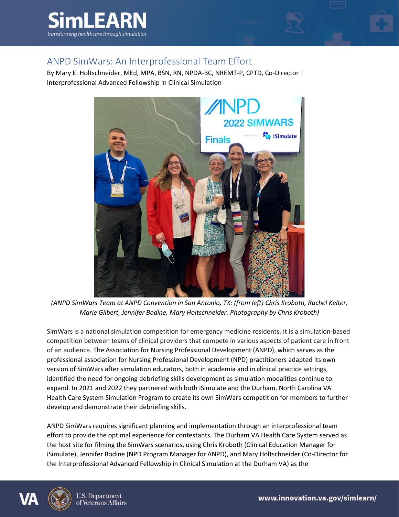



## ANPD SimWars: An Interprofessional Team Effort

By Mary E. Holtschneider, MEd, MPA, BSN, RN, NPDA-BC, NREMT-P, CPTD, Co-Director | Interprofessional Advanced Fellowship in Clinical Simulation



*(ANPD SimWars Team at ANPD Convention in San Antonio, TX: (from left) Chris Kroboth, Rachel Kelter, Marie Gilbert, Jennifer Bodine, Mary Holtschneider. Photography by Chris Kroboth)*

SimWars is a national simulation competition for emergency medicine residents. It is a simulation-based competition between teams of clinical providers that compete in various aspects of patient care in front of an audience. The Association for Nursing Professional Development (ANPD), which serves as the professional association for Nursing Professional Development (NPD) practitioners adapted its own version of SimWars after simulation educators, both in academia and in clinical practice settings, identified the need for ongoing debriefing skills development as simulation modalities continue to expand. In 2021 and 2022 they partnered with both iSimulate and the Durham, North Carolina VA Health Care System Simulation Program to create its own SimWars competition for members to further develop and demonstrate their debriefing skills.

ANPD SimWars requires significant planning and implementation through an interprofessional team effort to provide the optimal experience for contestants. The Durham VA Health Care System served as the host site for filming the SimWars scenarios, using Chris Kroboth (Clinical Education Manager for iSimulate), Jennifer Bodine (NPD Program Manager for ANPD), and Mary Holtschneider (Co-Director for the Interprofessional Advanced Fellowship in Clinical Simulation at the Durham VA) as the

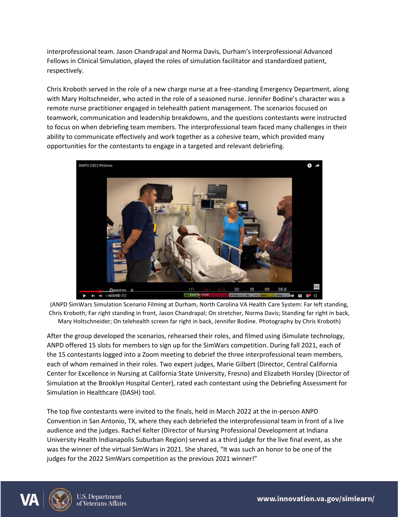interprofessional team. Jason Chandrapal and Norma Davis, Durham's Interprofessional Advanced Fellows in Clinical Simulation, played the roles of simulation facilitator and standardized patient, respectively.

Chris Kroboth served in the role of a new charge nurse at a free-standing Emergency Department, along with Mary Holtschneider, who acted in the role of a seasoned nurse. Jennifer Bodine's character was a remote nurse practitioner engaged in telehealth patient management. The scenarios focused on teamwork, communication and leadership breakdowns, and the questions contestants were instructed to focus on when debriefing team members. The interprofessional team faced many challenges in their ability to communicate effectively and work together as a cohesive team, which provided many opportunities for the contestants to engage in a targeted and relevant debriefing.



(ANPD SimWars Simulation Scenario Filming at Durham, North Carolina VA Health Care System: Far left standing, Chris Kroboth; Far right standing in front, Jason Chandrapal; On stretcher, Norma Davis; Standing far right in back, Mary Holtschneider; On telehealth screen far right in back, Jennifer Bodine. Photography by Chris Kroboth)

After the group developed the scenarios, rehearsed their roles, and filmed using iSimulate technology, ANPD offered 15 slots for members to sign up for the SimWars competition. During fall 2021, each of the 15 contestants logged into a Zoom meeting to debrief the three interprofessional team members, each of whom remained in their roles. Two expert judges, Marie Gilbert (Director, Central California Center for Excellence in Nursing at California State University, Fresno) and Elizabeth Horsley (Director of Simulation at the Brooklyn Hospital Center), rated each contestant using the Debriefing Assessment for Simulation in Healthcare (DASH) tool.

The top five contestants were invited to the finals, held in March 2022 at the in-person ANPD Convention in San Antonio, TX, where they each debriefed the interprofessional team in front of a live audience and the judges. Rachel Kelter (Director of Nursing Professional Development at Indiana University Health Indianapolis Suburban Region) served as a third judge for the live final event, as she was the winner of the virtual SimWars in 2021. She shared, "It was such an honor to be one of the judges for the 2022 SimWars competition as the previous 2021 winner!"